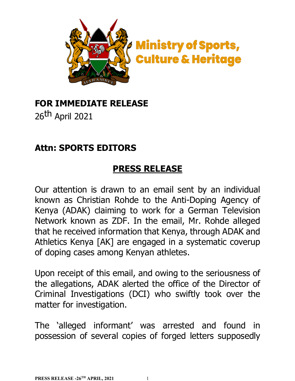

### **FOR IMMEDIATE RELEASE**

26th April 2021

### **Attn: SPORTS EDITORS**

#### **PRESS RELEASE**

Our attention is drawn to an email sent by an individual known as Christian Rohde to the Anti-Doping Agency of Kenya (ADAK) claiming to work for a German Television Network known as ZDF. In the email, Mr. Rohde alleged that he received information that Kenya, through ADAK and Athletics Kenya [AK] are engaged in a systematic coverup of doping cases among Kenyan athletes.

Upon receipt of this email, and owing to the seriousness of the allegations, ADAK alerted the office of the Director of Criminal Investigations (DCI) who swiftly took over the matter for investigation.

The 'alleged informant' was arrested and found in possession of several copies of forged letters supposedly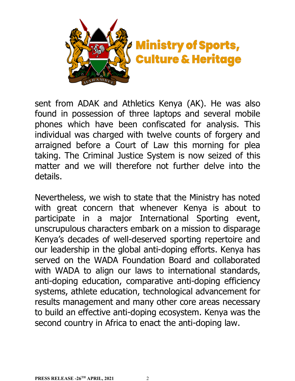

sent from ADAK and Athletics Kenya (AK). He was also found in possession of three laptops and several mobile phones which have been confiscated for analysis. This individual was charged with twelve counts of forgery and arraigned before a Court of Law this morning for plea taking. The Criminal Justice System is now seized of this matter and we will therefore not further delve into the details.

Nevertheless, we wish to state that the Ministry has noted with great concern that whenever Kenya is about to participate in a major International Sporting event, unscrupulous characters embark on a mission to disparage Kenya's decades of well-deserved sporting repertoire and our leadership in the global anti-doping efforts. Kenya has served on the WADA Foundation Board and collaborated with WADA to align our laws to international standards, anti-doping education, comparative anti-doping efficiency systems, athlete education, technological advancement for results management and many other core areas necessary to build an effective anti-doping ecosystem. Kenya was the second country in Africa to enact the anti-doping law.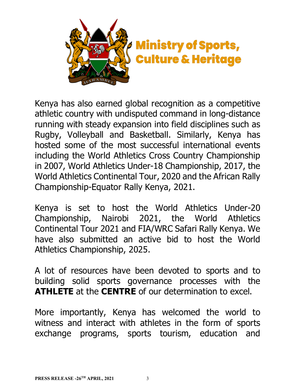

Kenya has also earned global recognition as a competitive athletic country with undisputed command in long-distance running with steady expansion into field disciplines such as Rugby, Volleyball and Basketball. Similarly, Kenya has hosted some of the most successful international events including the World Athletics Cross Country Championship in 2007, World Athletics Under-18 Championship, 2017, the World Athletics Continental Tour, 2020 and the African Rally Championship-Equator Rally Kenya, 2021.

Kenya is set to host the World Athletics Under-20 Championship, Nairobi 2021, the World Athletics Continental Tour 2021 and FIA/WRC Safari Rally Kenya. We have also submitted an active bid to host the World Athletics Championship, 2025.

A lot of resources have been devoted to sports and to building solid sports governance processes with the **ATHLETE** at the **CENTRE** of our determination to excel.

More importantly, Kenya has welcomed the world to witness and interact with athletes in the form of sports exchange programs, sports tourism, education and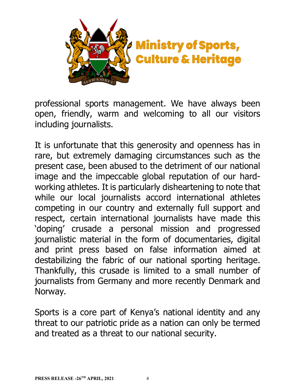

professional sports management. We have always been open, friendly, warm and welcoming to all our visitors including journalists.

It is unfortunate that this generosity and openness has in rare, but extremely damaging circumstances such as the present case, been abused to the detriment of our national image and the impeccable global reputation of our hardworking athletes. It is particularly disheartening to note that while our local journalists accord international athletes competing in our country and externally full support and respect, certain international journalists have made this 'doping' crusade a personal mission and progressed journalistic material in the form of documentaries, digital and print press based on false information aimed at destabilizing the fabric of our national sporting heritage. Thankfully, this crusade is limited to a small number of journalists from Germany and more recently Denmark and Norway.

Sports is a core part of Kenya's national identity and any threat to our patriotic pride as a nation can only be termed and treated as a threat to our national security.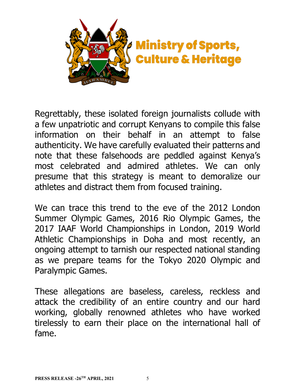

Regrettably, these isolated foreign journalists collude with a few unpatriotic and corrupt Kenyans to compile this false information on their behalf in an attempt to false authenticity. We have carefully evaluated their patterns and note that these falsehoods are peddled against Kenya's most celebrated and admired athletes. We can only presume that this strategy is meant to demoralize our athletes and distract them from focused training.

We can trace this trend to the eve of the 2012 London Summer Olympic Games, 2016 Rio Olympic Games, the 2017 IAAF World Championships in London, 2019 World Athletic Championships in Doha and most recently, an ongoing attempt to tarnish our respected national standing as we prepare teams for the Tokyo 2020 Olympic and Paralympic Games.

These allegations are baseless, careless, reckless and attack the credibility of an entire country and our hard working, globally renowned athletes who have worked tirelessly to earn their place on the international hall of fame.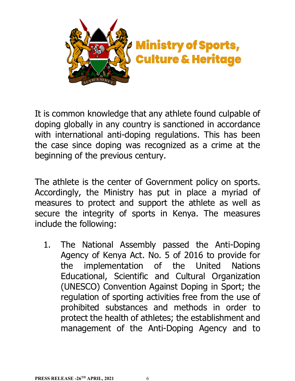

It is common knowledge that any athlete found culpable of doping globally in any country is sanctioned in accordance with international anti-doping regulations. This has been the case since doping was recognized as a crime at the beginning of the previous century.

The athlete is the center of Government policy on sports. Accordingly, the Ministry has put in place a myriad of measures to protect and support the athlete as well as secure the integrity of sports in Kenya. The measures include the following:

1. The National Assembly passed the Anti-Doping Agency of Kenya Act. No. 5 of 2016 to provide for the implementation of the United Nations Educational, Scientific and Cultural Organization (UNESCO) Convention Against Doping in Sport; the regulation of sporting activities free from the use of prohibited substances and methods in order to protect the health of athletes; the establishment and management of the Anti-Doping Agency and to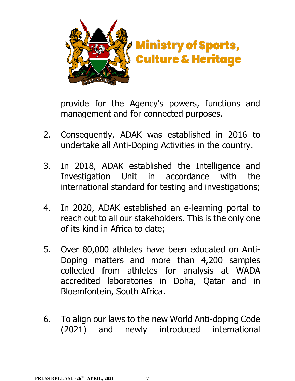

provide for the Agency's powers, functions and management and for connected purposes.

- 2. Consequently, ADAK was established in 2016 to undertake all Anti-Doping Activities in the country.
- 3. In 2018, ADAK established the Intelligence and Investigation Unit in accordance with the international standard for testing and investigations;
- 4. In 2020, ADAK established an e-learning portal to reach out to all our stakeholders. This is the only one of its kind in Africa to date;
- 5. Over 80,000 athletes have been educated on Anti-Doping matters and more than 4,200 samples collected from athletes for analysis at WADA accredited laboratories in Doha, Qatar and in Bloemfontein, South Africa.
- 6. To align our laws to the new World Anti-doping Code (2021) and newly introduced international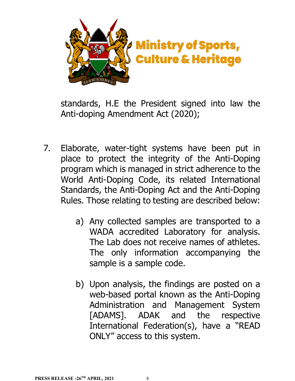

standards, H.E the President signed into law the Anti-doping Amendment Act (2020);

- 7. Elaborate, water-tight systems have been put in place to protect the integrity of the Anti-Doping program which is managed in strict adherence to the World Anti-Doping Code, its related International Standards, the Anti-Doping Act and the Anti-Doping Rules. Those relating to testing are described below:
	- a) Any collected samples are transported to a WADA accredited Laboratory for analysis. The Lab does not receive names of athletes. The only information accompanying the sample is a sample code.
	- b) Upon analysis, the findings are posted on a web-based portal known as the Anti-Doping Administration and Management System [ADAMS]. ADAK and the respective International Federation(s), have a "READ ONLY" access to this system.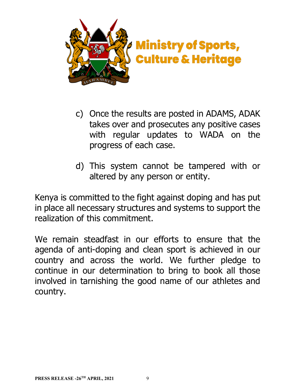

- c) Once the results are posted in ADAMS, ADAK takes over and prosecutes any positive cases with regular updates to WADA on the progress of each case.
- d) This system cannot be tampered with or altered by any person or entity.

Kenya is committed to the fight against doping and has put in place all necessary structures and systems to support the realization of this commitment.

We remain steadfast in our efforts to ensure that the agenda of anti-doping and clean sport is achieved in our country and across the world. We further pledge to continue in our determination to bring to book all those involved in tarnishing the good name of our athletes and country.